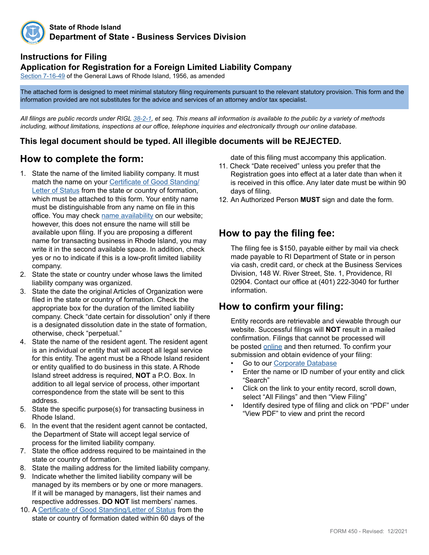

#### **Instructions for Filing**

#### **Application for Registration for a Foreign Limited Liability Company**

[Section 7-16-49](http://webserver.rilin.state.ri.us/Statutes/TITLE7/7-16/7-16-49.HTM) of the General Laws of Rhode Island, 1956, as amended

The attached form is designed to meet minimal statutory filing requirements pursuant to the relevant statutory provision. This form and the information provided are not substitutes for the advice and services of an attorney and/or tax specialist.

*All filings are public records under RIGL [38-2-1](http://webserver.rilin.state.ri.us/Statutes/TITLE38/38-2/38-2-1.HTM), et seq. This means all information is available to the public by a variety of methods including, without limitations, inspections at our office, telephone inquiries and electronically through our online database.*

#### **This legal document should be typed. All illegible documents will be REJECTED.**

## **How to complete the form:**

- 1. State the name of the limited liability company. It must match the name on your [Certificate of Good Standing/](https://www.sos.ri.gov/divisions/business-services/evidence-interactive-map) [Letter of Status](https://www.sos.ri.gov/divisions/business-services/evidence-interactive-map) from the state or country of formation, which must be attached to this form. Your entity name must be distinguishable from any name on file in this office. You may check [name availability](https://www.sos.ri.gov/divisions/business-services/name-availability-guidelines) on our website; however, this does not ensure the name will still be available upon filing. If you are proposing a different name for transacting business in Rhode Island, you may write it in the second available space. In addition, check yes or no to indicate if this is a low-profit limited liability company.
- 2. State the state or country under whose laws the limited liability company was organized.
- 3. State the date the original Articles of Organization were filed in the state or country of formation. Check the appropriate box for the duration of the limited liability company. Check "date certain for dissolution" only if there is a designated dissolution date in the state of formation, otherwise, check "perpetual."
- 4. State the name of the resident agent. The resident agent is an individual or entity that will accept all legal service for this entity. The agent must be a Rhode Island resident or entity qualified to do business in this state. A Rhode Island street address is required, **NOT** a P.O. Box. In addition to all legal service of process, other important correspondence from the state will be sent to this address.
- 5. State the specific purpose(s) for transacting business in Rhode Island.
- 6. In the event that the resident agent cannot be contacted, the Department of State will accept legal service of process for the limited liability company.
- 7. State the office address required to be maintained in the state or country of formation.
- 8. State the mailing address for the limited liability company.
- 9. Indicate whether the limited liability company will be managed by its members or by one or more managers. If it will be managed by managers, list their names and respective addresses. **DO NOT** list members' names.
- 10. A [Certificate of Good Standing/Letter of Status](https://www.sos.ri.gov/divisions/business-services/evidence-interactive-map) from the state or country of formation dated within 60 days of the

date of this filing must accompany this application.

- 11. Check "Date received" unless you prefer that the Registration goes into effect at a later date than when it is received in this office. Any later date must be within 90 days of filing.
- 12. An Authorized Person **MUST** sign and date the form.

## **How to pay the filing fee:**

The filing fee is \$150, payable either by mail via check made payable to RI Department of State or in person via cash, credit card, or check at the Business Services Division, 148 W. River Street, Ste. 1, Providence, RI 02904. Contact our office at (401) 222-3040 for further information.

## **How to confirm your filing:**

Entity records are retrievable and viewable through our website. Successful filings will **NOT** result in a mailed confirmation. Filings that cannot be processed will be posted [online](http://business.sos.ri.gov/corpreject/corprejectionslist.asp) and then returned. To confirm your submission and obtain evidence of your filing:

- Go to our [Corporate Database](http://business.sos.ri.gov/corpweb/corpsearch/corpsearch.aspx)
- Enter the name or ID number of your entity and click "Search"
- Click on the link to your entity record, scroll down, select "All Filings" and then "View Filing"
- Identify desired type of filing and click on "PDF" under "View PDF" to view and print the record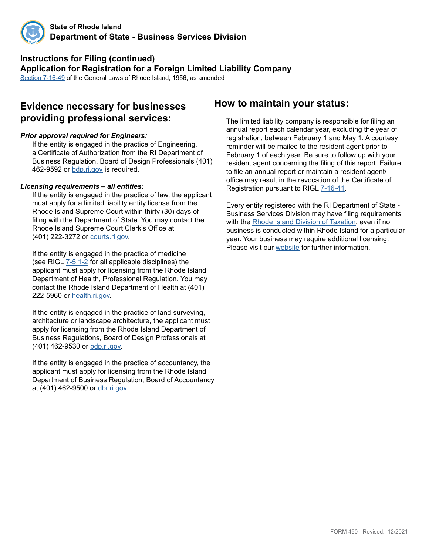

#### **Instructions for Filing (continued) Application for Registration for a Foreign Limited Liability Company** [Section 7-16-49](http://webserver.rilin.state.ri.us/Statutes/TITLE7/7-16/7-16-49.HTM) of the General Laws of Rhode Island, 1956, as amended

## **Evidence necessary for businesses providing professional services:**

#### *Prior approval required for Engineers:*

If the entity is engaged in the practice of Engineering, a Certificate of Authorization from the RI Department of Business Regulation, Board of Design Professionals (401) 462-9592 or [bdp.ri.gov](http://www.bdp.ri.gov/engineers/) is required.

#### *Licensing requirements – all entities:*

If the entity is engaged in the practice of law, the applicant must apply for a limited liability entity license from the Rhode Island Supreme Court within thirty (30) days of filing with the Department of State. You may contact the Rhode Island Supreme Court Clerk's Office at (401) 222-3272 or [courts.ri.gov.](https://www.courts.ri.gov/Pages/default.aspx)

If the entity is engaged in the practice of medicine (see RIGL [7-5.1-2](http://webserver.rilin.state.ri.us/Statutes/TITLE7/7-5.1/7-5.1-2.HTM) for all applicable disciplines) the applicant must apply for licensing from the Rhode Island Department of Health, Professional Regulation. You may contact the Rhode Island Department of Health at (401) 222-5960 or [health.ri.gov](http://health.ri.gov/licenses/index.php).

If the entity is engaged in the practice of land surveying, architecture or landscape architecture, the applicant must apply for licensing from the Rhode Island Department of Business Regulations, Board of Design Professionals at (401) 462-9530 or [bdp.ri.gov](http://www.bdp.ri.gov/surveyors/).

If the entity is engaged in the practice of accountancy, the applicant must apply for licensing from the Rhode Island Department of Business Regulation, Board of Accountancy at (401) 462-9500 or [dbr.ri.gov](http://www.dbr.ri.gov/divisions/accountancy/).

### **How to maintain your status:**

The limited liability company is responsible for filing an annual report each calendar year, excluding the year of registration, between February 1 and May 1. A courtesy reminder will be mailed to the resident agent prior to February 1 of each year. Be sure to follow up with your resident agent concerning the filing of this report. Failure to file an annual report or maintain a resident agent/ office may result in the revocation of the Certificate of Registration pursuant to [RIGL 7-16-41](http://webserver.rilin.state.ri.us/Statutes/TITLE7/7-16/7-16-41.HTM).

Every entity registered with the RI Department of State - Business Services Division may have filing requirements with the [Rhode Island Division of Taxation,](http://www.tax.ri.gov/) even if no business is conducted within Rhode Island for a particular year. Your business may require additional licensing. Please visit our [website](https://www.sos.ri.gov/divisions/business-services) for further information.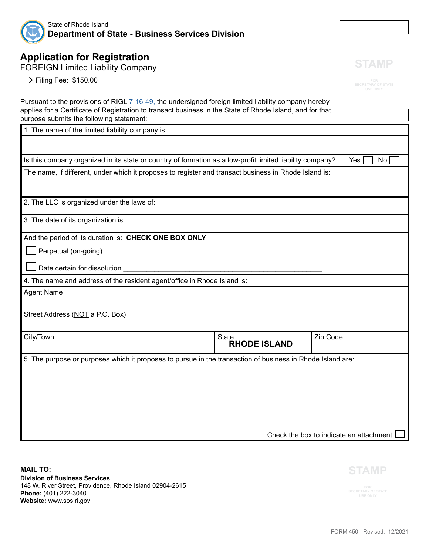

# **Application for Registration**

FOREIGN Limited Liability Company

 $\rightarrow$  Filing Fee: \$150.00

**STAMP**

| Pursuant to the provisions of RIGL 7-16-49, the undersigned foreign limited liability company hereby<br>applies for a Certificate of Registration to transact business in the State of Rhode Island, and for that<br>purpose submits the following statement: |                                     |                                              |  |  |
|---------------------------------------------------------------------------------------------------------------------------------------------------------------------------------------------------------------------------------------------------------------|-------------------------------------|----------------------------------------------|--|--|
| 1. The name of the limited liability company is:                                                                                                                                                                                                              |                                     |                                              |  |  |
|                                                                                                                                                                                                                                                               |                                     |                                              |  |  |
| Is this company organized in its state or country of formation as a low-profit limited liability company?                                                                                                                                                     |                                     | Yes<br>No                                    |  |  |
| The name, if different, under which it proposes to register and transact business in Rhode Island is:                                                                                                                                                         |                                     |                                              |  |  |
|                                                                                                                                                                                                                                                               |                                     |                                              |  |  |
| 2. The LLC is organized under the laws of:                                                                                                                                                                                                                    |                                     |                                              |  |  |
| 3. The date of its organization is:                                                                                                                                                                                                                           |                                     |                                              |  |  |
| And the period of its duration is: CHECK ONE BOX ONLY                                                                                                                                                                                                         |                                     |                                              |  |  |
| Perpetual (on-going)                                                                                                                                                                                                                                          |                                     |                                              |  |  |
| Date certain for dissolution                                                                                                                                                                                                                                  |                                     |                                              |  |  |
| 4. The name and address of the resident agent/office in Rhode Island is:                                                                                                                                                                                      |                                     |                                              |  |  |
| <b>Agent Name</b>                                                                                                                                                                                                                                             |                                     |                                              |  |  |
|                                                                                                                                                                                                                                                               |                                     |                                              |  |  |
| Street Address (NOT a P.O. Box)                                                                                                                                                                                                                               |                                     |                                              |  |  |
| City/Town                                                                                                                                                                                                                                                     | <b>State</b><br><b>RHODE ISLAND</b> | Zip Code                                     |  |  |
| 5. The purpose or purposes which it proposes to pursue in the transaction of business in Rhode Island are:                                                                                                                                                    |                                     |                                              |  |  |
|                                                                                                                                                                                                                                                               |                                     |                                              |  |  |
|                                                                                                                                                                                                                                                               |                                     |                                              |  |  |
|                                                                                                                                                                                                                                                               |                                     |                                              |  |  |
|                                                                                                                                                                                                                                                               |                                     |                                              |  |  |
|                                                                                                                                                                                                                                                               |                                     |                                              |  |  |
| Check the box to indicate an attachment                                                                                                                                                                                                                       |                                     |                                              |  |  |
|                                                                                                                                                                                                                                                               |                                     |                                              |  |  |
| <b>MAIL TO:</b>                                                                                                                                                                                                                                               |                                     | <b>STAMP</b>                                 |  |  |
| <b>Division of Business Services</b><br>148 W. River Street, Providence, Rhode Island 02904-2615                                                                                                                                                              |                                     | FOR                                          |  |  |
| Phone: (401) 222-3040<br>Website: www.sos.ri.gov                                                                                                                                                                                                              |                                     | <b>SECRETARY OF STATE</b><br><b>USE ONLY</b> |  |  |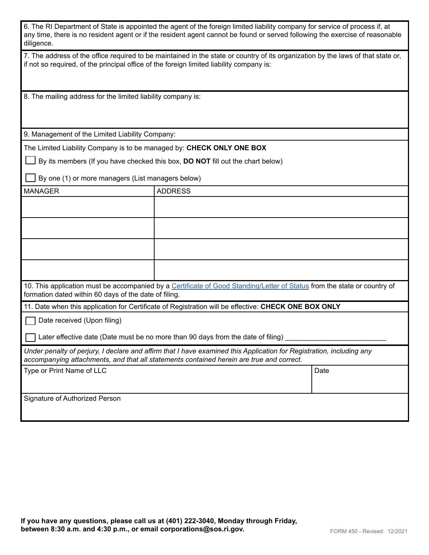| 6. The RI Department of State is appointed the agent of the foreign limited liability company for service of process if, at  |
|------------------------------------------------------------------------------------------------------------------------------|
| any time, there is no resident agent or if the resident agent cannot be found or served following the exercise of reasonable |
| diligence.                                                                                                                   |

7. The address of the office required to be maintained in the state or country of its organization by the laws of that state or, if not so required, of the principal office of the foreign limited liability company is:

8. The mailing address for the limited liability company is:

9. Management of the Limited Liability Company:

The Limited Liability Company is to be managed by: **CHECK ONLY ONE BOX**

By its members (If you have checked this box, **DO NOT** fill out the chart below)

By one (1) or more managers (List managers below)

| <b>MANAGER</b>                                                                                                                                                                    | <b>ADDRESS</b>                                                                                                                                                                                                   |      |  |  |
|-----------------------------------------------------------------------------------------------------------------------------------------------------------------------------------|------------------------------------------------------------------------------------------------------------------------------------------------------------------------------------------------------------------|------|--|--|
|                                                                                                                                                                                   |                                                                                                                                                                                                                  |      |  |  |
|                                                                                                                                                                                   |                                                                                                                                                                                                                  |      |  |  |
|                                                                                                                                                                                   |                                                                                                                                                                                                                  |      |  |  |
|                                                                                                                                                                                   |                                                                                                                                                                                                                  |      |  |  |
| 10. This application must be accompanied by a Certificate of Good Standing/Letter of Status from the state or country of<br>formation dated within 60 days of the date of filing. |                                                                                                                                                                                                                  |      |  |  |
| 11. Date when this application for Certificate of Registration will be effective: CHECK ONE BOX ONLY                                                                              |                                                                                                                                                                                                                  |      |  |  |
|                                                                                                                                                                                   |                                                                                                                                                                                                                  |      |  |  |
| Date received (Upon filing)                                                                                                                                                       |                                                                                                                                                                                                                  |      |  |  |
|                                                                                                                                                                                   | Later effective date (Date must be no more than 90 days from the date of filing)                                                                                                                                 |      |  |  |
|                                                                                                                                                                                   | Under penalty of perjury, I declare and affirm that I have examined this Application for Registration, including any<br>accompanying attachments, and that all statements contained herein are true and correct. |      |  |  |
| Type or Print Name of LLC                                                                                                                                                         |                                                                                                                                                                                                                  | Date |  |  |
|                                                                                                                                                                                   |                                                                                                                                                                                                                  |      |  |  |
| Signature of Authorized Person                                                                                                                                                    |                                                                                                                                                                                                                  |      |  |  |